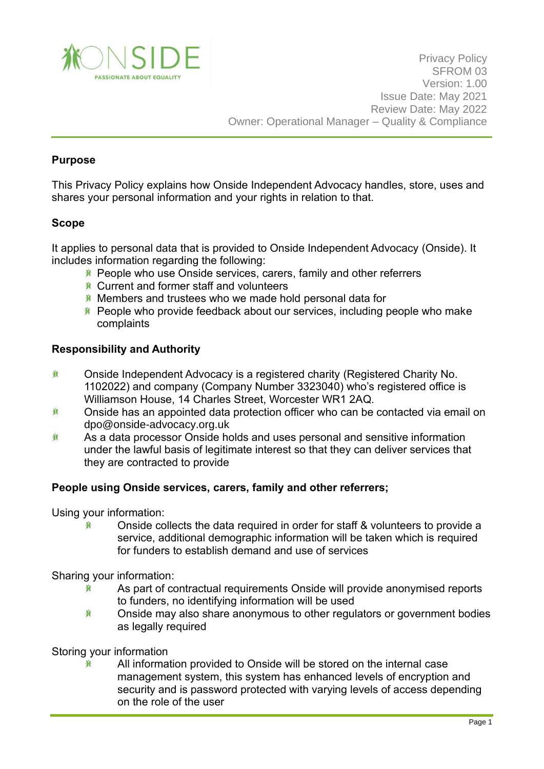

## **Purpose**

This Privacy Policy explains how Onside Independent Advocacy handles, store, uses and shares your personal information and your rights in relation to that.

### **Scope**

It applies to personal data that is provided to Onside Independent Advocacy (Onside). It includes information regarding the following:

- **K** People who use Onside services, carers, family and other referrers
- Current and former staff and volunteers
- Members and trustees who we made hold personal data for
- $*$  People who provide feedback about our services, including people who make complaints

### **Responsibility and Authority**

- 兼 Onside Independent Advocacy is a registered charity (Registered Charity No. 1102022) and company (Company Number 3323040) who's registered office is Williamson House, 14 Charles Street, Worcester WR1 2AQ.
- 賽 Onside has an appointed data protection officer who can be contacted via email on [dpo@onside-advocacy.org.uk](mailto:dpo@onside-advocacy.org.uk)
- As a data processor Onside holds and uses personal and sensitive information 雀 under the lawful basis of legitimate interest so that they can deliver services that they are contracted to provide

### **People using Onside services, carers, family and other referrers;**

Using your information:

Onside collects the data required in order for staff & volunteers to provide a 眷 service, additional demographic information will be taken which is required for funders to establish demand and use of services

Sharing your information:

- As part of contractual requirements Onside will provide anonymised reports 春 to funders, no identifying information will be used
- 眷 Onside may also share anonymous to other regulators or government bodies as legally required

Storing your information

眷

All information provided to Onside will be stored on the internal case management system, this system has enhanced levels of encryption and security and is password protected with varying levels of access depending on the role of the user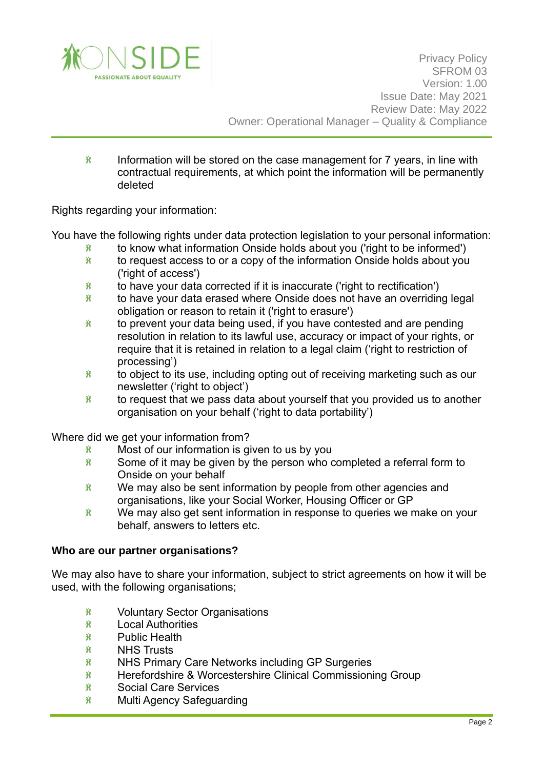

賽 Information will be stored on the case management for 7 years, in line with contractual requirements, at which point the information will be permanently deleted

Rights regarding your information:

You have the following rights under data protection legislation to your personal information:

- to know what information Onside holds about you ('right to be informed') 賽
- 賽 to request access to or a copy of the information Onside holds about you ('right of access')
- 賽 to have your data corrected if it is inaccurate ('right to rectification')
- to have your data erased where Onside does not have an overriding legal 眷 obligation or reason to retain it ('right to erasure')
- 兼 to prevent your data being used, if you have contested and are pending resolution in relation to its lawful use, accuracy or impact of your rights, or require that it is retained in relation to a legal claim ('right to restriction of processing')
- 兼 to object to its use, including opting out of receiving marketing such as our newsletter ('right to object')
- to request that we pass data about yourself that you provided us to another 賽 organisation on your behalf ('right to data portability')

Where did we get your information from?

- 賽 Most of our information is given to us by you
- 賽 Some of it may be given by the person who completed a referral form to Onside on your behalf
- 賽 We may also be sent information by people from other agencies and organisations, like your Social Worker, Housing Officer or GP
- We may also get sent information in response to queries we make on your 賽 behalf, answers to letters etc.

### **Who are our partner organisations?**

We may also have to share your information, subject to strict agreements on how it will be used, with the following organisations;

- 賽 Voluntary Sector Organisations
- 賽 Local Authorities
- 賽 Public Health
- 眷 NHS Trusts
- 崔 NHS Primary Care Networks including GP Surgeries
- 賽 Herefordshire & Worcestershire Clinical Commissioning Group
- 賽 Social Care Services
- Multi Agency Safeguarding賽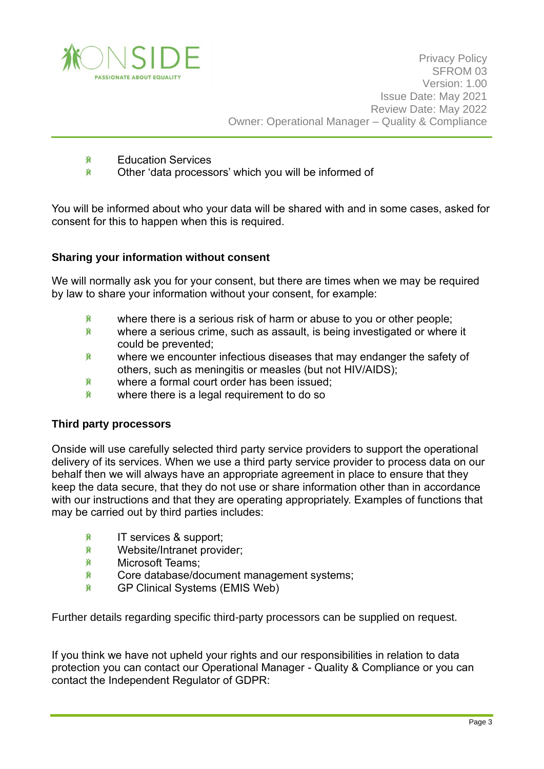

- 賽 Education Services
- 眷 Other 'data processors' which you will be informed of

You will be informed about who your data will be shared with and in some cases, asked for consent for this to happen when this is required.

### **Sharing your information without consent**

We will normally ask you for your consent, but there are times when we may be required by law to share your information without your consent, for example:

- 眷 where there is a serious risk of harm or abuse to you or other people;
- 賽 where a serious crime, such as assault, is being investigated or where it could be prevented;
- 賽 where we encounter infectious diseases that may endanger the safety of others, such as meningitis or measles (but not HIV/AIDS);
- where a formal court order has been issued; 賽
- 兼 where there is a legal requirement to do so

#### **Third party processors**

Onside will use carefully selected third party service providers to support the operational delivery of its services. When we use a third party service provider to process data on our behalf then we will always have an appropriate agreement in place to ensure that they keep the data secure, that they do not use or share information other than in accordance with our instructions and that they are operating appropriately. Examples of functions that may be carried out by third parties includes:

- 賽 IT services & support;
- 眷 Website/Intranet provider;
- 賽 Microsoft Teams;
- 賽 Core database/document management systems;
- 賽 GP Clinical Systems (EMIS Web)

Further details regarding specific third-party processors can be supplied on request.

If you think we have not upheld your rights and our responsibilities in relation to data protection you can contact our Operational Manager - Quality & Compliance or you can contact the Independent Regulator of GDPR: